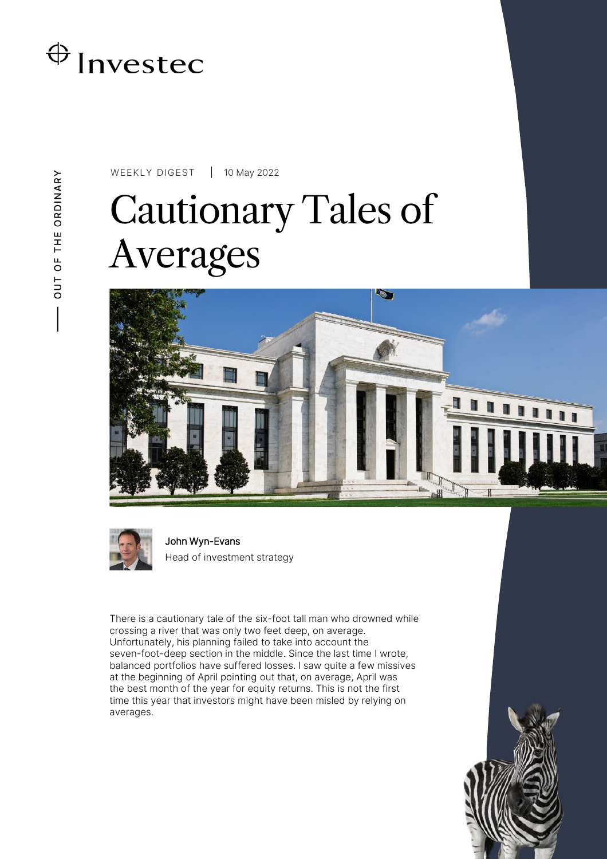

# WEEKLY DIGEST 10 May 2022 Cautionary Tales of Averages





John Wyn-Evans Head of investment strategy

There is a cautionary tale of the six-foot tall man who drowned while crossing a river that was only two feet deep, on average. Unfortunately, his planning failed to take into account the seven-foot-deep section in the middle. Since the last time I wrote, balanced portfolios have suffered losses. I saw quite a few missives at the beginning of April pointing out that, on average, April was the best month of the year for equity returns. This is not the first time this year that investors might have been misled by relying on averages.

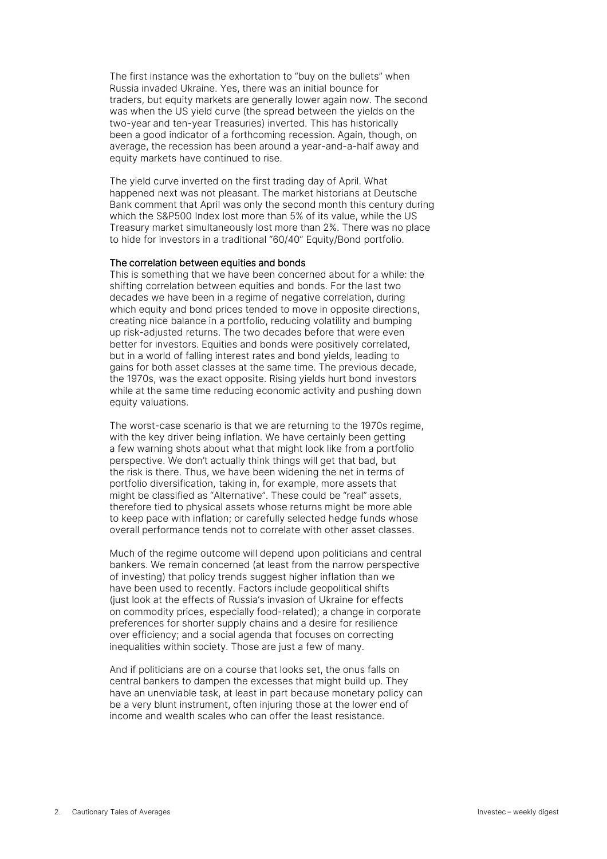The first instance was the exhortation to "buy on the bullets" when Russia invaded Ukraine. Yes, there was an initial bounce for traders, but equity markets are generally lower again now. The second was when the US yield curve (the spread between the yields on the two-year and ten-year Treasuries) inverted. This has historically been a good indicator of a forthcoming recession. Again, though, on average, the recession has been around a year-and-a-half away and equity markets have continued to rise.

The yield curve inverted on the first trading day of April. What happened next was not pleasant. The market historians at Deutsche Bank comment that April was only the second month this century during which the S&P500 Index lost more than 5% of its value, while the US Treasury market simultaneously lost more than 2%. There was no place to hide for investors in a traditional "60/40" Equity/Bond portfolio.

#### The correlation between equities and bonds

This is something that we have been concerned about for a while: the shifting correlation between equities and bonds. For the last two decades we have been in a regime of negative correlation, during which equity and bond prices tended to move in opposite directions, creating nice balance in a portfolio, reducing volatility and bumping up risk-adjusted returns. The two decades before that were even better for investors. Equities and bonds were positively correlated, but in a world of falling interest rates and bond yields, leading to gains for both asset classes at the same time. The previous decade, the 1970s, was the exact opposite. Rising yields hurt bond investors while at the same time reducing economic activity and pushing down equity valuations.

The worst-case scenario is that we are returning to the 1970s regime, with the key driver being inflation. We have certainly been getting a few warning shots about what that might look like from a portfolio perspective. We don't actually think things will get that bad, but the risk is there. Thus, we have been widening the net in terms of portfolio diversification, taking in, for example, more assets that might be classified as "Alternative". These could be "real" assets, therefore tied to physical assets whose returns might be more able to keep pace with inflation; or carefully selected hedge funds whose overall performance tends not to correlate with other asset classes.

Much of the regime outcome will depend upon politicians and central bankers. We remain concerned (at least from the narrow perspective of investing) that policy trends suggest higher inflation than we have been used to recently. Factors include geopolitical shifts (just look at the effects of Russia's invasion of Ukraine for effects on commodity prices, especially food-related); a change in corporate preferences for shorter supply chains and a desire for resilience over efficiency; and a social agenda that focuses on correcting inequalities within society. Those are just a few of many.

And if politicians are on a course that looks set, the onus falls on central bankers to dampen the excesses that might build up. They have an unenviable task, at least in part because monetary policy can be a very blunt instrument, often injuring those at the lower end of income and wealth scales who can offer the least resistance.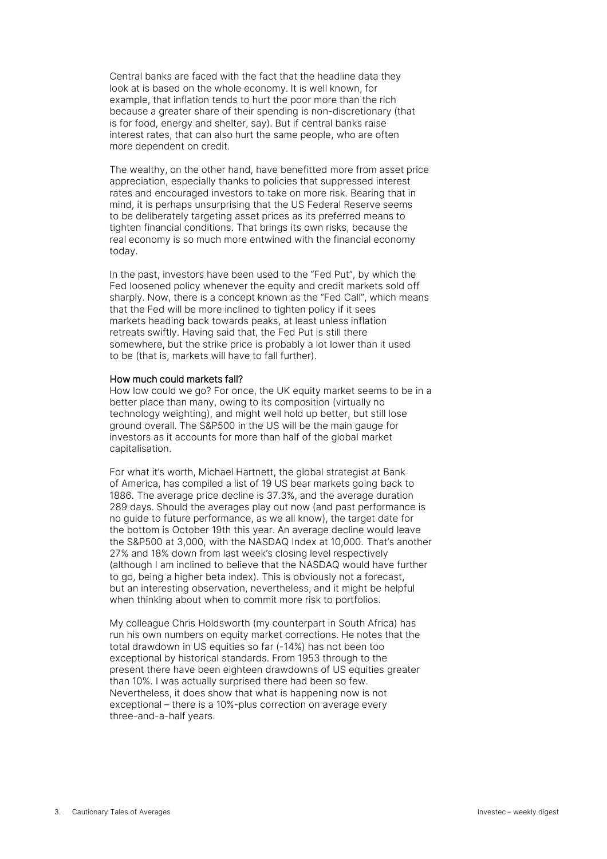Central banks are faced with the fact that the headline data they look at is based on the whole economy. It is well known, for example, that inflation tends to hurt the poor more than the rich because a greater share of their spending is non-discretionary (that is for food, energy and shelter, say). But if central banks raise interest rates, that can also hurt the same people, who are often more dependent on credit.

The wealthy, on the other hand, have benefitted more from asset price appreciation, especially thanks to policies that suppressed interest rates and encouraged investors to take on more risk. Bearing that in mind, it is perhaps unsurprising that the US Federal Reserve seems to be deliberately targeting asset prices as its preferred means to tighten financial conditions. That brings its own risks, because the real economy is so much more entwined with the financial economy today.

In the past, investors have been used to the "Fed Put", by which the Fed loosened policy whenever the equity and credit markets sold off sharply. Now, there is a concept known as the "Fed Call", which means that the Fed will be more inclined to tighten policy if it sees markets heading back towards peaks, at least unless inflation retreats swiftly. Having said that, the Fed Put is still there somewhere, but the strike price is probably a lot lower than it used to be (that is, markets will have to fall further).

#### How much could markets fall?

How low could we go? For once, the UK equity market seems to be in a better place than many, owing to its composition (virtually no technology weighting), and might well hold up better, but still lose ground overall. The S&P500 in the US will be the main gauge for investors as it accounts for more than half of the global market capitalisation.

For what it's worth, Michael Hartnett, the global strategist at Bank of America, has compiled a list of 19 US bear markets going back to 1886. The average price decline is 37.3%, and the average duration 289 days. Should the averages play out now (and past performance is no guide to future performance, as we all know), the target date for the bottom is October 19th this year. An average decline would leave the S&P500 at 3,000, with the NASDAQ Index at 10,000. That's another 27% and 18% down from last week's closing level respectively (although I am inclined to believe that the NASDAQ would have further to go, being a higher beta index). This is obviously not a forecast, but an interesting observation, nevertheless, and it might be helpful when thinking about when to commit more risk to portfolios.

My colleague Chris Holdsworth (my counterpart in South Africa) has run his own numbers on equity market corrections. He notes that the total drawdown in US equities so far (-14%) has not been too exceptional by historical standards. From 1953 through to the present there have been eighteen drawdowns of US equities greater than 10%. I was actually surprised there had been so few. Nevertheless, it does show that what is happening now is not exceptional – there is a 10%-plus correction on average every three-and-a-half years.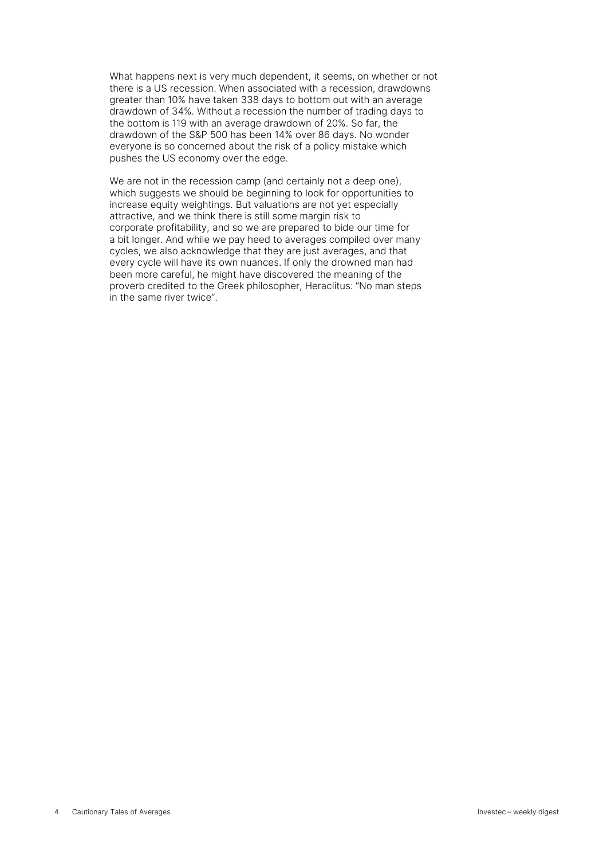What happens next is very much dependent, it seems, on whether or not there is a US recession. When associated with a recession, drawdowns greater than 10% have taken 338 days to bottom out with an average drawdown of 34%. Without a recession the number of trading days to the bottom is 119 with an average drawdown of 20%. So far, the drawdown of the S&P 500 has been 14% over 86 days. No wonder everyone is so concerned about the risk of a policy mistake which pushes the US economy over the edge.

We are not in the recession camp (and certainly not a deep one), which suggests we should be beginning to look for opportunities to increase equity weightings. But valuations are not yet especially attractive, and we think there is still some margin risk to corporate profitability, and so we are prepared to bide our time for a bit longer. And while we pay heed to averages compiled over many cycles, we also acknowledge that they are just averages, and that every cycle will have its own nuances. If only the drowned man had been more careful, he might have discovered the meaning of the proverb credited to the Greek philosopher, Heraclitus: "No man steps in the same river twice".